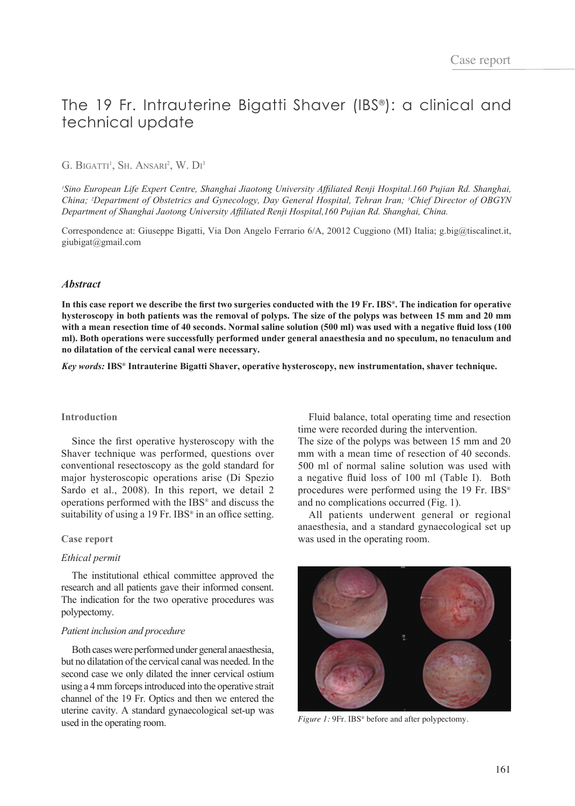# The 19 Fr. Intrauterine Bigatti Shaver (IBS®): a clinical and technical update

# G. BIGATTI<sup>1</sup>, Sh. Ansari<sup>2</sup>, W. Di<sup>3</sup>

*1 Sino European Life Expert Centre, Shanghai Jiaotong University Affiliated Renji Hospital.160 Pujian Rd. Shanghai, China; 2 Department of Obstetrics and Gynecology, Day General Hospital, Tehran Iran; <sup>3</sup> Chief Director of OBGYN Department of Shanghai Jaotong University Affiliated Renji Hospital,160 Pujian Rd. Shanghai, China.*

Correspondence at: Giuseppe Bigatti, Via Don Angelo Ferrario 6/A, 20012 Cuggiono (MI) Italia; g.big@tiscalinet.it, giubigat@gmail.com

# *Abstract*

**In this case report we describe the first two surgeries conducted with the 19 Fr. IBS®. The indication for operative hysteroscopy in both patients was the removal of polyps. The size of the polyps was between 15 mm and 20 mm with a mean resection time of 40 seconds. Normal saline solution (500 ml) was used with a negative fluid loss (100 ml). Both operations were successfully performed under general anaesthesia and no speculum, no tenaculum and no dilatation of the cervical canal were necessary.** 

*Key words:* **IBS® Intrauterine Bigatti Shaver, operative hysteroscopy, new instrumentation, shaver technique.**

## **Introduction**

Since the first operative hysteroscopy with the Shaver technique was performed, questions over conventional resectoscopy as the gold standard for major hysteroscopic operations arise (Di Spezio Sardo et al., 2008). In this report, we detail 2 operations performed with the IBS® and discuss the suitability of using a 19 Fr. IBS® in an office setting.

#### **Case report**

# *Ethical permit*

The institutional ethical committee approved the research and all patients gave their informed consent. The indication for the two operative procedures was polypectomy.

#### *Patient inclusion and procedure*

Both cases were performed under general anaesthesia, but no dilatation of the cervical canal was needed. In the second case we only dilated the inner cervical ostium using a 4 mm forceps introduced into the operative strait channel of the 19 Fr. Optics and then we entered the uterine cavity. A standard gynaecological set-up was used in the operating room.

Fluid balance, total operating time and resection time were recorded during the intervention.

The size of the polyps was between 15 mm and 20 mm with a mean time of resection of 40 seconds. 500 ml of normal saline solution was used with a negative fluid loss of 100 ml (Table I). Both procedures were performed using the 19 Fr. IBS® and no complications occurred (Fig. 1).

All patients underwent general or regional anaesthesia, and a standard gynaecological set up was used in the operating room.



*Figure 1:* 9Fr. IBS<sup>®</sup> before and after polypectomy.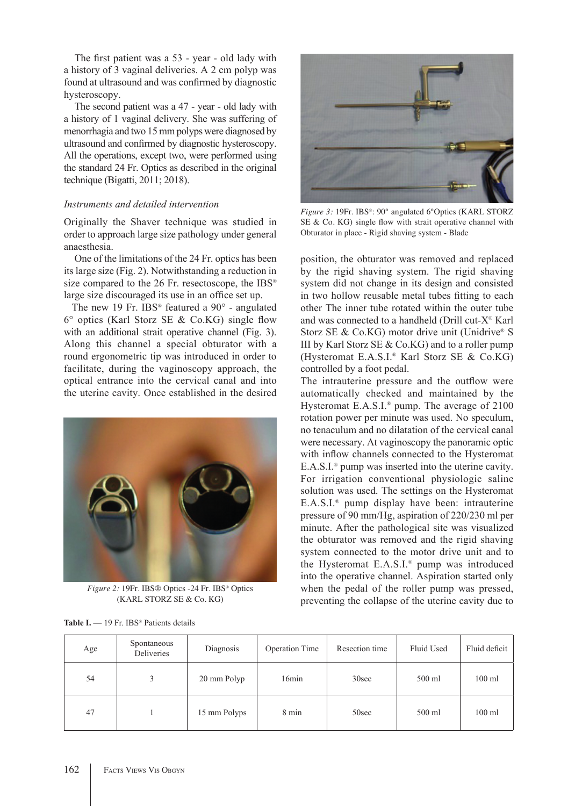The first patient was a 53 - year - old lady with a history of 3 vaginal deliveries. A 2 cm polyp was found at ultrasound and was confirmed by diagnostic hysteroscopy.

The second patient was a 47 - year - old lady with a history of 1 vaginal delivery. She was suffering of menorrhagia and two 15 mm polyps were diagnosed by ultrasound and confirmed by diagnostic hysteroscopy. All the operations, except two, were performed using the standard 24 Fr. Optics as described in the original technique (Bigatti, 2011; 2018).

# *Instruments and detailed intervention*

Originally the Shaver technique was studied in order to approach large size pathology under general anaesthesia.

One of the limitations of the 24 Fr. optics has been its large size (Fig. 2). Notwithstanding a reduction in size compared to the 26 Fr. resectoscope, the IBS<sup>®</sup> large size discouraged its use in an office set up.

The new 19 Fr. IBS<sup>®</sup> featured a 90° - angulated 6° optics (Karl Storz SE & Co.KG) single flow with an additional strait operative channel (Fig. 3). Along this channel a special obturator with a round ergonometric tip was introduced in order to facilitate, during the vaginoscopy approach, the optical entrance into the cervical canal and into the uterine cavity. Once established in the desired



*Figure 2:* 19Fr. IBS® Optics -24 Fr. IBS® Optics (KARL STORZ SE & Co. KG)



*Figure 3:* 19Fr. IBS®: 90° angulated 6°Optics (KARL STORZ SE & Co. KG) single flow with strait operative channel with Obturator in place - Rigid shaving system - Blade

position, the obturator was removed and replaced by the rigid shaving system. The rigid shaving system did not change in its design and consisted in two hollow reusable metal tubes fitting to each other The inner tube rotated within the outer tube and was connected to a handheld (Drill cut-X® Karl Storz SE & Co.KG) motor drive unit (Unidrive® S III by Karl Storz SE  $& Co.KG$  and to a roller pump (Hysteromat E.A.S.I.® Karl Storz SE & Co.KG) controlled by a foot pedal.

The intrauterine pressure and the outflow were automatically checked and maintained by the Hysteromat E.A.S.I.® pump. The average of 2100 rotation power per minute was used. No speculum, no tenaculum and no dilatation of the cervical canal were necessary. At vaginoscopy the panoramic optic with inflow channels connected to the Hysteromat E.A.S.I.® pump was inserted into the uterine cavity. For irrigation conventional physiologic saline solution was used. The settings on the Hysteromat E.A.S.I.® pump display have been: intrauterine pressure of 90 mm/Hg, aspiration of 220/230 ml per minute. After the pathological site was visualized the obturator was removed and the rigid shaving system connected to the motor drive unit and to the Hysteromat E.A.S.I.® pump was introduced into the operative channel. Aspiration started only when the pedal of the roller pump was pressed, preventing the collapse of the uterine cavity due to

| Age | Spontaneous<br>Deliveries | Diagnosis    | <b>Operation Time</b> | Resection time | Fluid Used | Fluid deficit    |
|-----|---------------------------|--------------|-----------------------|----------------|------------|------------------|
| 54  |                           | 20 mm Polyp  | 16min                 | 30sec          | 500 ml     | $100 \text{ ml}$ |
| 47  |                           | 15 mm Polyps | 8 min                 | 50sec          | 500 ml     | $100$ ml         |

Table I. - 19 Fr. IBS<sup>®</sup> Patients details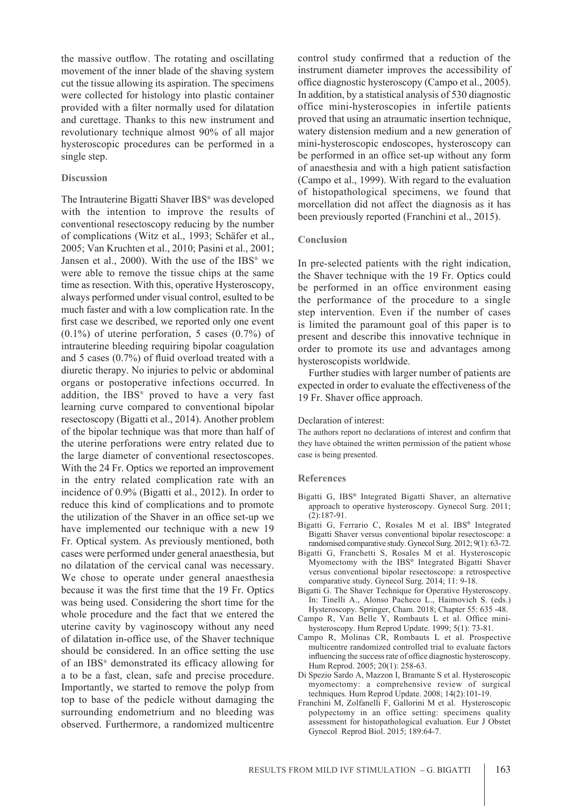the massive outflow. The rotating and oscillating movement of the inner blade of the shaving system cut the tissue allowing its aspiration. The specimens were collected for histology into plastic container provided with a filter normally used for dilatation and curettage. Thanks to this new instrument and revolutionary technique almost 90% of all major hysteroscopic procedures can be performed in a single step.

# **Discussion**

The Intrauterine Bigatti Shaver IBS® was developed with the intention to improve the results of conventional resectoscopy reducing by the number of complications (Witz et al., 1993; Schäfer et al., 2005; Van Kruchten et al., 2010; Pasini et al., 2001; Jansen et al., 2000). With the use of the IBS<sup>®</sup> we were able to remove the tissue chips at the same time as resection. With this, operative Hysteroscopy, always performed under visual control, esulted to be much faster and with a low complication rate. In the first case we described, we reported only one event (0.1%) of uterine perforation, 5 cases (0.7%) of intrauterine bleeding requiring bipolar coagulation and 5 cases (0.7%) of fluid overload treated with a diuretic therapy. No injuries to pelvic or abdominal organs or postoperative infections occurred. In addition, the IBS® proved to have a very fast learning curve compared to conventional bipolar resectoscopy (Bigatti et al., 2014). Another problem of the bipolar technique was that more than half of the uterine perforations were entry related due to the large diameter of conventional resectoscopes. With the 24 Fr. Optics we reported an improvement in the entry related complication rate with an incidence of 0.9% (Bigatti et al., 2012). In order to reduce this kind of complications and to promote the utilization of the Shaver in an office set-up we have implemented our technique with a new 19 Fr. Optical system. As previously mentioned, both cases were performed under general anaesthesia, but no dilatation of the cervical canal was necessary. We chose to operate under general anaesthesia because it was the first time that the 19 Fr. Optics was being used. Considering the short time for the whole procedure and the fact that we entered the uterine cavity by vaginoscopy without any need of dilatation in-office use, of the Shaver technique should be considered. In an office setting the use of an IBS® demonstrated its efficacy allowing for a to be a fast, clean, safe and precise procedure. Importantly, we started to remove the polyp from top to base of the pedicle without damaging the surrounding endometrium and no bleeding was observed. Furthermore, a randomized multicentre control study confirmed that a reduction of the instrument diameter improves the accessibility of office diagnostic hysteroscopy (Campo et al., 2005). In addition, by a statistical analysis of 530 diagnostic office mini-hysteroscopies in infertile patients proved that using an atraumatic insertion technique, watery distension medium and a new generation of mini-hysteroscopic endoscopes, hysteroscopy can be performed in an office set-up without any form of anaesthesia and with a high patient satisfaction (Campo et al., 1999). With regard to the evaluation of histopathological specimens, we found that morcellation did not affect the diagnosis as it has been previously reported (Franchini et al., 2015).

## **Conclusion**

In pre-selected patients with the right indication, the Shaver technique with the 19 Fr. Optics could be performed in an office environment easing the performance of the procedure to a single step intervention. Even if the number of cases is limited the paramount goal of this paper is to present and describe this innovative technique in order to promote its use and advantages among hysteroscopists worldwide.

Further studies with larger number of patients are expected in order to evaluate the effectiveness of the 19 Fr. Shaver office approach.

#### Declaration of interest:

The authors report no declarations of interest and confirm that they have obtained the written permission of the patient whose case is being presented.

#### **References**

- Bigatti G, IBS® Integrated Bigatti Shaver, an alternative approach to operative hysteroscopy. Gynecol Surg. 2011; (2):187-91.
- Bigatti G, Ferrario C, Rosales M et al. IBS® Integrated Bigatti Shaver versus conventional bipolar resectoscope: a randomised comparative study. Gynecol Surg. 2012; 9(1): 63-72.
- Bigatti G, Franchetti S, Rosales M et al. Hysteroscopic Myomectomy with the IBS® Integrated Bigatti Shaver versus conventional bipolar resectoscope: a retrospective comparative study. Gynecol Surg. 2014; 11: 9-18.
- Bigatti G. The Shaver Technique for Operative Hysteroscopy. In: Tinelli A., Alonso Pacheco L., Haimovich S. (eds.) Hysteroscopy. Springer, Cham. 2018; Chapter 55: 635 -48.
- Campo R, Van Belle Y, Rombauts L et al. Office minihysteroscopy. Hum Reprod Update. 1999; 5(1): 73-81.
- Campo R, Molinas CR, Rombauts L et al. Prospective multicentre randomized controlled trial to evaluate factors influencing the success rate of office diagnostic hysteroscopy. Hum Reprod. 2005; 20(1): 258-63.
- Di Spezio Sardo A, Mazzon I, Bramante S et al. Hysteroscopic myomectomy: a comprehensive review of surgical techniques. Hum Reprod Update. 2008; 14(2):101-19.
- Franchini M, Zolfanelli F, Gallorini M et al. Hysteroscopic polypectomy in an office setting: specimens quality assessment for histopathological evaluation. Eur J Obstet Gynecol Reprod Biol. 2015; 189:64-7.